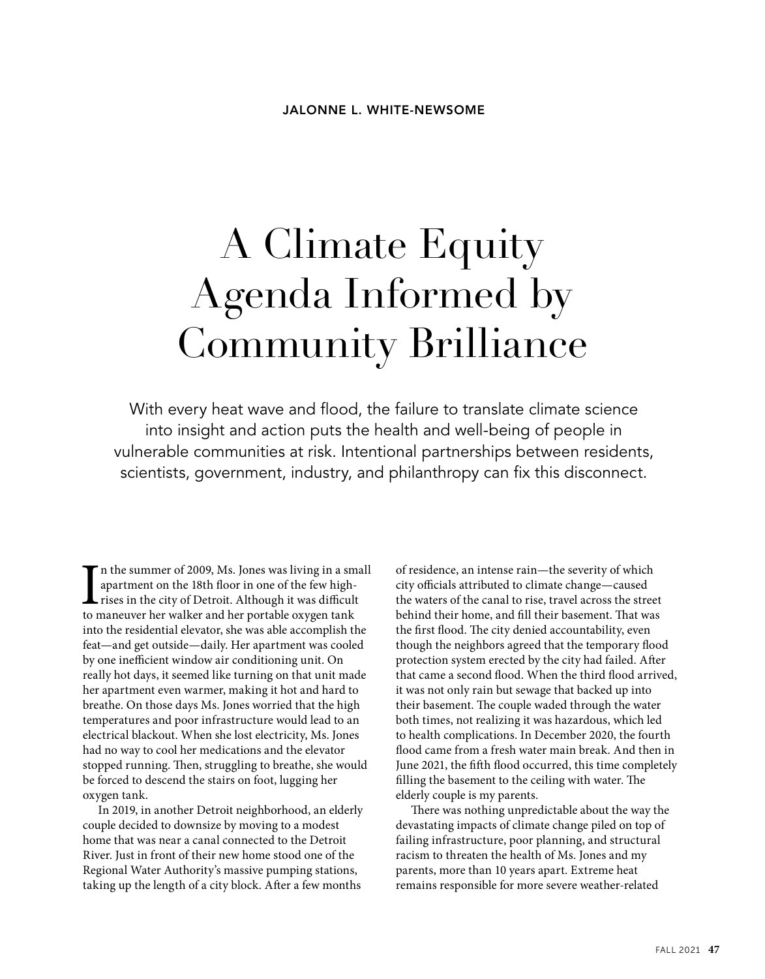## A Climate Equity Agenda Informed by Community Brilliance

With every heat wave and flood, the failure to translate climate science into insight and action puts the health and well-being of people in vulnerable communities at risk. Intentional partnerships between residents, scientists, government, industry, and philanthropy can fix this disconnect.

In the summer of 2009, Ms. Jones was living in a sm<br>apartment on the 18th floor in one of the few high-<br>rises in the city of Detroit. Although it was difficult<br>to maneuver her walker and her portable oxygen tank n the summer of 2009, Ms. Jones was living in a small apartment on the 18th floor in one of the few highrises in the city of Detroit. Although it was difficult into the residential elevator, she was able accomplish the feat—and get outside—daily. Her apartment was cooled by one inefficient window air conditioning unit. On really hot days, it seemed like turning on that unit made her apartment even warmer, making it hot and hard to breathe. On those days Ms. Jones worried that the high temperatures and poor infrastructure would lead to an electrical blackout. When she lost electricity, Ms. Jones had no way to cool her medications and the elevator stopped running. Then, struggling to breathe, she would be forced to descend the stairs on foot, lugging her oxygen tank.

In 2019, in another Detroit neighborhood, an elderly couple decided to downsize by moving to a modest home that was near a canal connected to the Detroit River. Just in front of their new home stood one of the Regional Water Authority's massive pumping stations, taking up the length of a city block. After a few months

of residence, an intense rain—the severity of which city officials attributed to climate change—caused the waters of the canal to rise, travel across the street behind their home, and fill their basement. That was the first flood. The city denied accountability, even though the neighbors agreed that the temporary flood protection system erected by the city had failed. After that came a second flood. When the third flood arrived, it was not only rain but sewage that backed up into their basement. The couple waded through the water both times, not realizing it was hazardous, which led to health complications. In December 2020, the fourth flood came from a fresh water main break. And then in June 2021, the fifth flood occurred, this time completely filling the basement to the ceiling with water. The elderly couple is my parents.

There was nothing unpredictable about the way the devastating impacts of climate change piled on top of failing infrastructure, poor planning, and structural racism to threaten the health of Ms. Jones and my parents, more than 10 years apart. Extreme heat remains responsible for more severe weather-related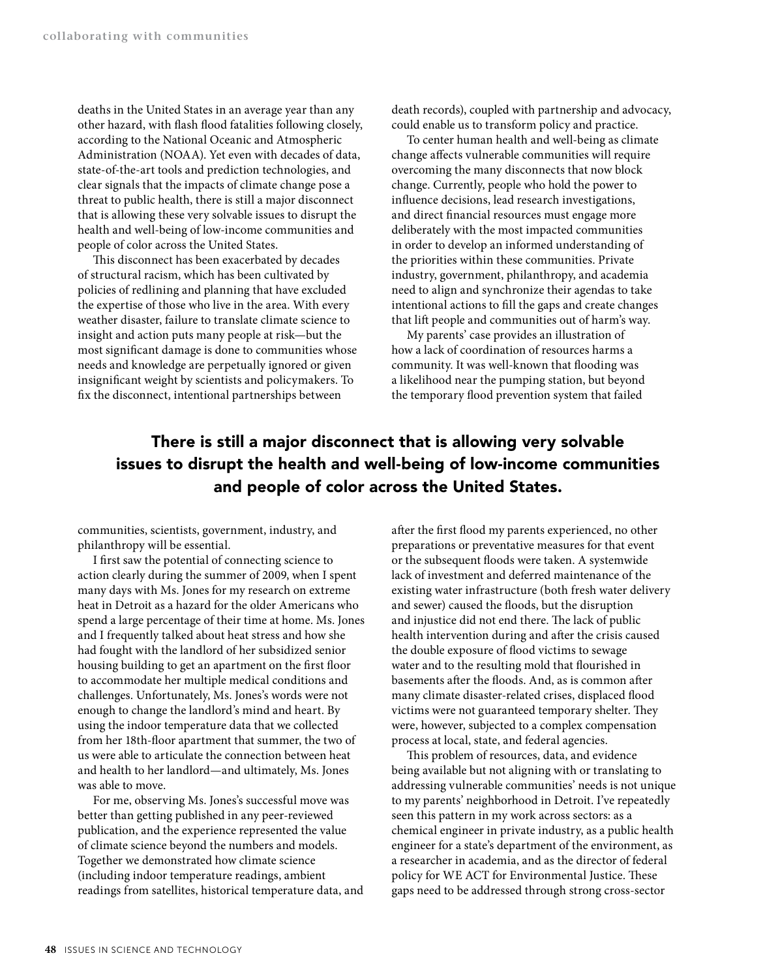deaths in the United States in an average year than any other hazard, with flash flood fatalities following closely, according to the National Oceanic and Atmospheric Administration (NOAA). Yet even with decades of data, state-of-the-art tools and prediction technologies, and clear signals that the impacts of climate change pose a threat to public health, there is still a major disconnect that is allowing these very solvable issues to disrupt the health and well-being of low-income communities and people of color across the United States.

This disconnect has been exacerbated by decades of structural racism, which has been cultivated by policies of redlining and planning that have excluded the expertise of those who live in the area. With every weather disaster, failure to translate climate science to insight and action puts many people at risk—but the most significant damage is done to communities whose needs and knowledge are perpetually ignored or given insignificant weight by scientists and policymakers. To fix the disconnect, intentional partnerships between

death records), coupled with partnership and advocacy, could enable us to transform policy and practice.

To center human health and well-being as climate change affects vulnerable communities will require overcoming the many disconnects that now block change. Currently, people who hold the power to influence decisions, lead research investigations, and direct financial resources must engage more deliberately with the most impacted communities in order to develop an informed understanding of the priorities within these communities. Private industry, government, philanthropy, and academia need to align and synchronize their agendas to take intentional actions to fill the gaps and create changes that lift people and communities out of harm's way.

My parents' case provides an illustration of how a lack of coordination of resources harms a community. It was well-known that flooding was a likelihood near the pumping station, but beyond the temporary flood prevention system that failed

## There is still a major disconnect that is allowing very solvable issues to disrupt the health and well-being of low-income communities and people of color across the United States.

communities, scientists, government, industry, and philanthropy will be essential.

I first saw the potential of connecting science to action clearly during the summer of 2009, when I spent many days with Ms. Jones for my research on extreme heat in Detroit as a hazard for the older Americans who spend a large percentage of their time at home. Ms. Jones and I frequently talked about heat stress and how she had fought with the landlord of her subsidized senior housing building to get an apartment on the first floor to accommodate her multiple medical conditions and challenges. Unfortunately, Ms. Jones's words were not enough to change the landlord's mind and heart. By using the indoor temperature data that we collected from her 18th-floor apartment that summer, the two of us were able to articulate the connection between heat and health to her landlord—and ultimately, Ms. Jones was able to move.

For me, observing Ms. Jones's successful move was better than getting published in any peer-reviewed publication, and the experience represented the value of climate science beyond the numbers and models. Together we demonstrated how climate science (including indoor temperature readings, ambient readings from satellites, historical temperature data, and after the first flood my parents experienced, no other preparations or preventative measures for that event or the subsequent floods were taken. A systemwide lack of investment and deferred maintenance of the existing water infrastructure (both fresh water delivery and sewer) caused the floods, but the disruption and injustice did not end there. The lack of public health intervention during and after the crisis caused the double exposure of flood victims to sewage water and to the resulting mold that flourished in basements after the floods. And, as is common after many climate disaster-related crises, displaced flood victims were not guaranteed temporary shelter. They were, however, subjected to a complex compensation process at local, state, and federal agencies.

This problem of resources, data, and evidence being available but not aligning with or translating to addressing vulnerable communities' needs is not unique to my parents' neighborhood in Detroit. I've repeatedly seen this pattern in my work across sectors: as a chemical engineer in private industry, as a public health engineer for a state's department of the environment, as a researcher in academia, and as the director of federal policy for WE ACT for Environmental Justice. These gaps need to be addressed through strong cross-sector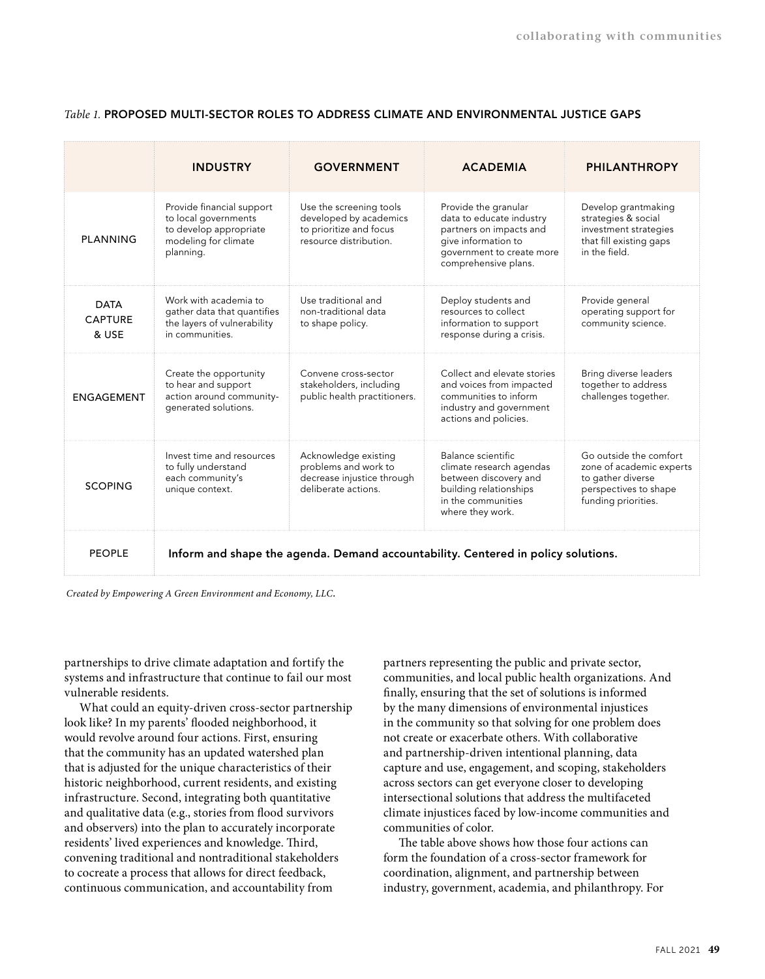|                                        | <b>INDUSTRY</b>                                                                                                  | <b>GOVERNMENT</b>                                                                                      | <b>ACADEMIA</b>                                                                                                                                         | <b>PHILANTHROPY</b>                                                                                                     |
|----------------------------------------|------------------------------------------------------------------------------------------------------------------|--------------------------------------------------------------------------------------------------------|---------------------------------------------------------------------------------------------------------------------------------------------------------|-------------------------------------------------------------------------------------------------------------------------|
| PLANNING                               | Provide financial support<br>to local governments<br>to develop appropriate<br>modeling for climate<br>planning. | Use the screening tools<br>developed by academics<br>to prioritize and focus<br>resource distribution. | Provide the granular<br>data to educate industry<br>partners on impacts and<br>give information to<br>government to create more<br>comprehensive plans. | Develop grantmaking<br>strategies & social<br>investment strategies<br>that fill existing gaps<br>in the field.         |
| <b>DATA</b><br><b>CAPTURE</b><br>& USE | Work with academia to<br>gather data that quantifies<br>the layers of vulnerability<br>in communities.           | Use traditional and<br>non-traditional data<br>to shape policy.                                        | Deploy students and<br>resources to collect<br>information to support<br>response during a crisis.                                                      | Provide general<br>operating support for<br>community science.                                                          |
| <b>ENGAGEMENT</b>                      | Create the opportunity<br>to hear and support<br>action around community-<br>generated solutions.                | Convene cross-sector<br>stakeholders, including<br>public health practitioners.                        | Collect and elevate stories<br>and voices from impacted<br>communities to inform<br>industry and government<br>actions and policies.                    | Bring diverse leaders<br>together to address<br>challenges together.                                                    |
| <b>SCOPING</b>                         | Invest time and resources<br>to fully understand<br>each community's<br>unique context.                          | Acknowledge existing<br>problems and work to<br>decrease injustice through<br>deliberate actions.      | Balance scientific<br>climate research agendas<br>between discovery and<br>building relationships<br>in the communities<br>where they work.             | Go outside the comfort<br>zone of academic experts<br>to gather diverse<br>perspectives to shape<br>funding priorities. |
| <b>PEOPLE</b>                          | Inform and shape the agenda. Demand accountability. Centered in policy solutions.                                |                                                                                                        |                                                                                                                                                         |                                                                                                                         |

## *Table 1.* **PROPOSED MULTI-SECTOR ROLES TO ADDRESS CLIMATE AND ENVIRONMENTAL JUSTICE GAPS**

 *Created by Empowering A Green Environment and Economy, LLC.*

partnerships to drive climate adaptation and fortify the systems and infrastructure that continue to fail our most vulnerable residents.

What could an equity-driven cross-sector partnership look like? In my parents' flooded neighborhood, it would revolve around four actions. First, ensuring that the community has an updated watershed plan that is adjusted for the unique characteristics of their historic neighborhood, current residents, and existing infrastructure. Second, integrating both quantitative and qualitative data (e.g., stories from flood survivors and observers) into the plan to accurately incorporate residents' lived experiences and knowledge. Third, convening traditional and nontraditional stakeholders to cocreate a process that allows for direct feedback, continuous communication, and accountability from

partners representing the public and private sector, communities, and local public health organizations. And finally, ensuring that the set of solutions is informed by the many dimensions of environmental injustices in the community so that solving for one problem does not create or exacerbate others. With collaborative and partnership-driven intentional planning, data capture and use, engagement, and scoping, stakeholders across sectors can get everyone closer to developing intersectional solutions that address the multifaceted climate injustices faced by low-income communities and communities of color.

The table above shows how those four actions can form the foundation of a cross-sector framework for coordination, alignment, and partnership between industry, government, academia, and philanthropy. For